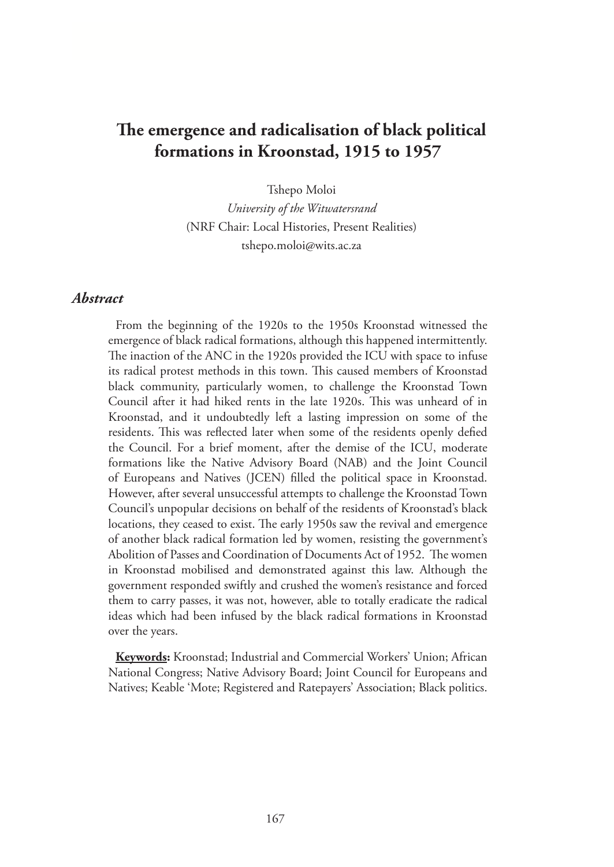# **The emergence and radicalisation of black political formations in Kroonstad, 1915 to 1957**

Tshepo Moloi

*University of the Witwatersrand* (NRF Chair: Local Histories, Present Realities) tshepo.moloi@wits.ac.za

## *Abstract*

From the beginning of the 1920s to the 1950s Kroonstad witnessed the emergence of black radical formations, although this happened intermittently. The inaction of the ANC in the 1920s provided the ICU with space to infuse its radical protest methods in this town. This caused members of Kroonstad black community, particularly women, to challenge the Kroonstad Town Council after it had hiked rents in the late 1920s. This was unheard of in Kroonstad, and it undoubtedly left a lasting impression on some of the residents. This was reflected later when some of the residents openly defied the Council. For a brief moment, after the demise of the ICU, moderate formations like the Native Advisory Board (NAB) and the Joint Council of Europeans and Natives (JCEN) filled the political space in Kroonstad. However, after several unsuccessful attempts to challenge the Kroonstad Town Council's unpopular decisions on behalf of the residents of Kroonstad's black locations, they ceased to exist. The early 1950s saw the revival and emergence of another black radical formation led by women, resisting the government's Abolition of Passes and Coordination of Documents Act of 1952. The women in Kroonstad mobilised and demonstrated against this law. Although the government responded swiftly and crushed the women's resistance and forced them to carry passes, it was not, however, able to totally eradicate the radical ideas which had been infused by the black radical formations in Kroonstad over the years.

**Keywords:** Kroonstad; Industrial and Commercial Workers' Union; African National Congress; Native Advisory Board; Joint Council for Europeans and Natives; Keable 'Mote; Registered and Ratepayers' Association; Black politics.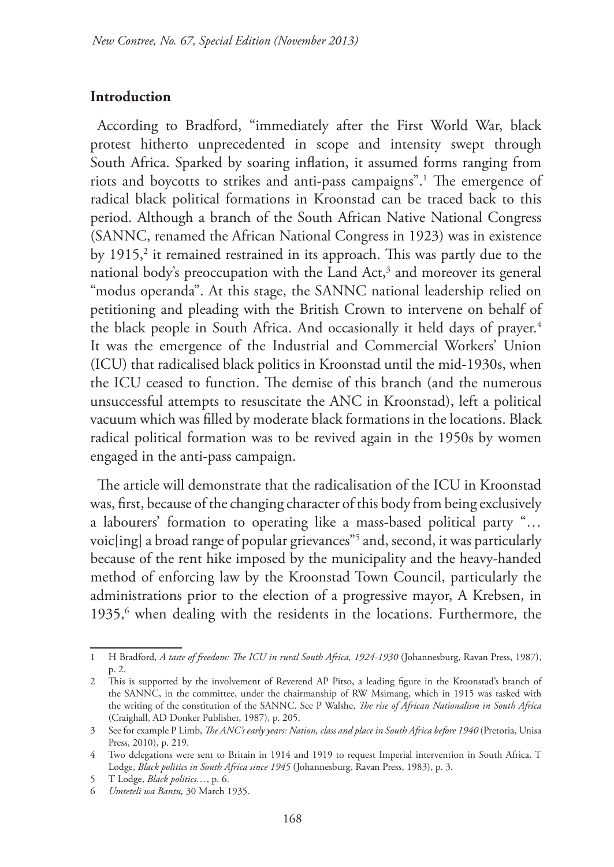#### **Introduction**

According to Bradford, "immediately after the First World War, black protest hitherto unprecedented in scope and intensity swept through South Africa. Sparked by soaring inflation, it assumed forms ranging from riots and boycotts to strikes and anti-pass campaigns".1 The emergence of radical black political formations in Kroonstad can be traced back to this period. Although a branch of the South African Native National Congress (SANNC, renamed the African National Congress in 1923) was in existence by 1915,<sup>2</sup> it remained restrained in its approach. This was partly due to the national body's preoccupation with the Land Act,<sup>3</sup> and moreover its general "modus operanda". At this stage, the SANNC national leadership relied on petitioning and pleading with the British Crown to intervene on behalf of the black people in South Africa. And occasionally it held days of prayer.<sup>4</sup> It was the emergence of the Industrial and Commercial Workers' Union (ICU) that radicalised black politics in Kroonstad until the mid-1930s, when the ICU ceased to function. The demise of this branch (and the numerous unsuccessful attempts to resuscitate the ANC in Kroonstad), left a political vacuum which was filled by moderate black formations in the locations. Black radical political formation was to be revived again in the 1950s by women engaged in the anti-pass campaign.

The article will demonstrate that the radicalisation of the ICU in Kroonstad was, first, because of the changing character of this body from being exclusively a labourers' formation to operating like a mass-based political party "… voic[ing] a broad range of popular grievances"5 and, second, it was particularly because of the rent hike imposed by the municipality and the heavy-handed method of enforcing law by the Kroonstad Town Council, particularly the administrations prior to the election of a progressive mayor, A Krebsen, in 1935,<sup>6</sup> when dealing with the residents in the locations. Furthermore, the

<sup>1</sup> H Bradford, *A taste of freedom: The ICU in rural South Africa, 1924-1930* (Johannesburg, Ravan Press, 1987), p. 2.

<sup>2</sup> This is supported by the involvement of Reverend AP Pitso, a leading figure in the Kroonstad's branch of the SANNC, in the committee, under the chairmanship of RW Msimang, which in 1915 was tasked with the writing of the constitution of the SANNC. See P Walshe, *The rise of African Nationalism in South Africa*  (Craighall, AD Donker Publisher, 1987), p. 205.

<sup>3</sup> See for example P Limb, *The ANC's early years: Nation, class and place in South Africa before 1940* (Pretoria, Unisa Press, 2010), p. 219.

<sup>4</sup> Two delegations were sent to Britain in 1914 and 1919 to request Imperial intervention in South Africa. T Lodge, *Black politics in South Africa since 1945* (Johannesburg, Ravan Press, 1983), p. 3.

<sup>5</sup> T Lodge, *Black politics…*, p. 6.

<sup>6</sup> *Umteteli wa Bantu,* 30 March 1935.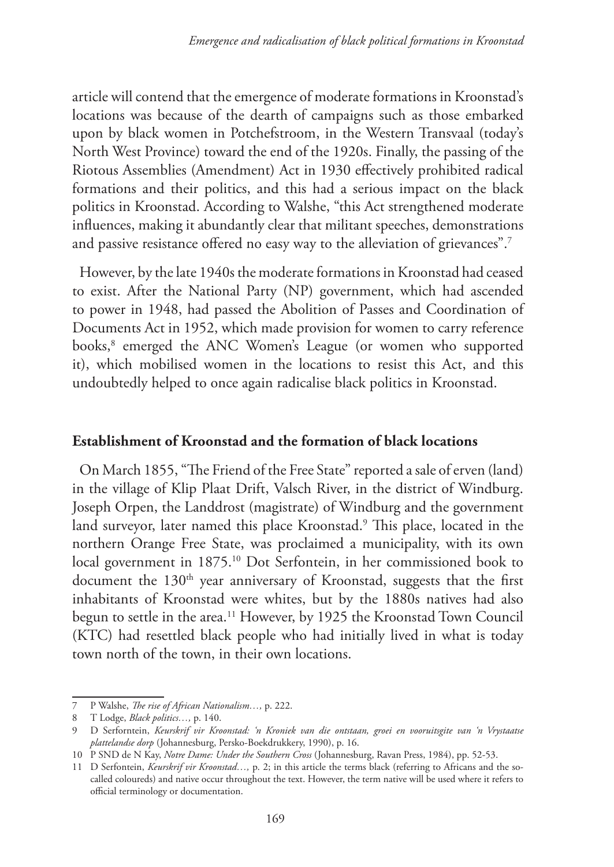article will contend that the emergence of moderate formations in Kroonstad's locations was because of the dearth of campaigns such as those embarked upon by black women in Potchefstroom, in the Western Transvaal (today's North West Province) toward the end of the 1920s. Finally, the passing of the Riotous Assemblies (Amendment) Act in 1930 effectively prohibited radical formations and their politics, and this had a serious impact on the black politics in Kroonstad. According to Walshe, "this Act strengthened moderate influences, making it abundantly clear that militant speeches, demonstrations and passive resistance offered no easy way to the alleviation of grievances".7

However, by the late 1940s the moderate formations in Kroonstad had ceased to exist. After the National Party (NP) government, which had ascended to power in 1948, had passed the Abolition of Passes and Coordination of Documents Act in 1952, which made provision for women to carry reference books,8 emerged the ANC Women's League (or women who supported it), which mobilised women in the locations to resist this Act, and this undoubtedly helped to once again radicalise black politics in Kroonstad.

#### **Establishment of Kroonstad and the formation of black locations**

On March 1855, "The Friend of the Free State" reported a sale of erven (land) in the village of Klip Plaat Drift, Valsch River, in the district of Windburg. Joseph Orpen, the Landdrost (magistrate) of Windburg and the government land surveyor, later named this place Kroonstad.9 This place, located in the northern Orange Free State, was proclaimed a municipality, with its own local government in 1875.10 Dot Serfontein, in her commissioned book to document the 130<sup>th</sup> year anniversary of Kroonstad, suggests that the first inhabitants of Kroonstad were whites, but by the 1880s natives had also begun to settle in the area.<sup>11</sup> However, by 1925 the Kroonstad Town Council (KTC) had resettled black people who had initially lived in what is today town north of the town, in their own locations.

<sup>7</sup> P Walshe, *The rise of African Nationalism…,* p. 222.

<sup>8</sup> T Lodge, *Black politics…,* p. 140.

<sup>9</sup> D Serforntein, *Keurskrif vir Kroonstad: 'n Kroniek van die ontstaan, groei en vooruitsgite van 'n Vrystaatse plattelandse dorp* (Johannesburg, Persko-Boekdrukkery, 1990), p. 16.

<sup>10</sup> P SND de N Kay, *Notre Dame: Under the Southern Cross* (Johannesburg, Ravan Press, 1984), pp. 52-53.

<sup>11</sup> D Serfontein, *Keurskrif vir Kroonstad…,* p. 2; in this article the terms black (referring to Africans and the socalled coloureds) and native occur throughout the text. However, the term native will be used where it refers to official terminology or documentation.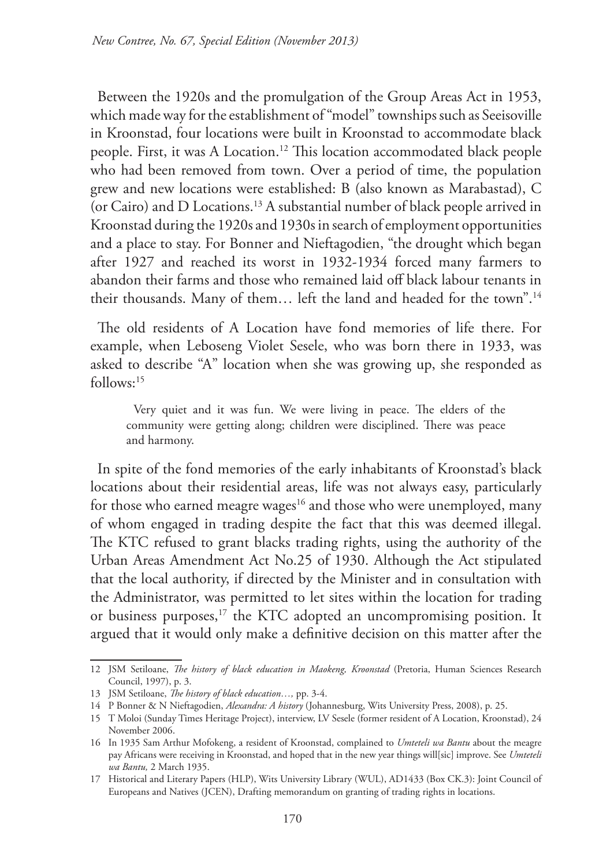Between the 1920s and the promulgation of the Group Areas Act in 1953, which made way for the establishment of "model" townships such as Seeisoville in Kroonstad, four locations were built in Kroonstad to accommodate black people. First, it was A Location.12 This location accommodated black people who had been removed from town. Over a period of time, the population grew and new locations were established: B (also known as Marabastad), C (or Cairo) and D Locations.13 A substantial number of black people arrived in Kroonstad during the 1920s and 1930s in search of employment opportunities and a place to stay. For Bonner and Nieftagodien, "the drought which began after 1927 and reached its worst in 1932-1934 forced many farmers to abandon their farms and those who remained laid off black labour tenants in their thousands. Many of them… left the land and headed for the town".14

The old residents of A Location have fond memories of life there. For example, when Leboseng Violet Sesele, who was born there in 1933, was asked to describe "A" location when she was growing up, she responded as follows:15

Very quiet and it was fun. We were living in peace. The elders of the community were getting along; children were disciplined. There was peace and harmony.

In spite of the fond memories of the early inhabitants of Kroonstad's black locations about their residential areas, life was not always easy, particularly for those who earned meagre wages<sup>16</sup> and those who were unemployed, many of whom engaged in trading despite the fact that this was deemed illegal. The KTC refused to grant blacks trading rights, using the authority of the Urban Areas Amendment Act No.25 of 1930. Although the Act stipulated that the local authority, if directed by the Minister and in consultation with the Administrator, was permitted to let sites within the location for trading or business purposes,<sup>17</sup> the KTC adopted an uncompromising position. It argued that it would only make a definitive decision on this matter after the

<sup>12</sup> JSM Setiloane, *The history of black education in Maokeng, Kroonstad* (Pretoria, Human Sciences Research Council, 1997), p. 3.

<sup>13</sup> JSM Setiloane, *The history of black education…,* pp. 3-4.

<sup>14</sup> P Bonner & N Nieftagodien, *Alexandra: A history* (Johannesburg, Wits University Press, 2008), p. 25.

<sup>15</sup> T Moloi (Sunday Times Heritage Project), interview, LV Sesele (former resident of A Location, Kroonstad), 24 November 2006.

<sup>16</sup> In 1935 Sam Arthur Mofokeng, a resident of Kroonstad, complained to *Umteteli wa Bantu* about the meagre pay Africans were receiving in Kroonstad, and hoped that in the new year things will[sic] improve. See *Umteteli wa Bantu,* 2 March 1935.

<sup>17</sup> Historical and Literary Papers (HLP), Wits University Library (WUL), AD1433 (Box CK.3): Joint Council of Europeans and Natives (JCEN), Drafting memorandum on granting of trading rights in locations.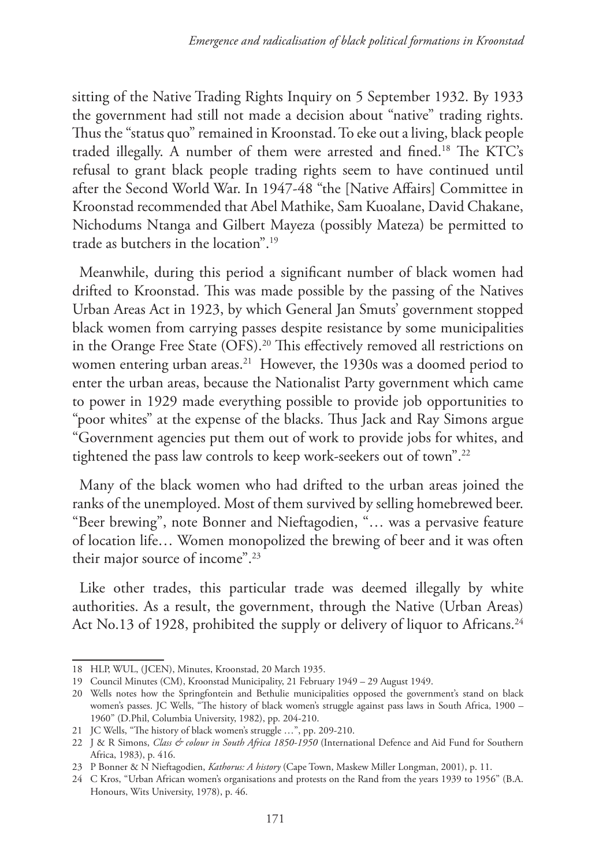sitting of the Native Trading Rights Inquiry on 5 September 1932. By 1933 the government had still not made a decision about "native" trading rights. Thus the "status quo" remained in Kroonstad. To eke out a living, black people traded illegally. A number of them were arrested and fined.18 The KTC's refusal to grant black people trading rights seem to have continued until after the Second World War. In 1947-48 "the [Native Affairs] Committee in Kroonstad recommended that Abel Mathike, Sam Kuoalane, David Chakane, Nichodums Ntanga and Gilbert Mayeza (possibly Mateza) be permitted to trade as butchers in the location". 19

Meanwhile, during this period a significant number of black women had drifted to Kroonstad. This was made possible by the passing of the Natives Urban Areas Act in 1923, by which General Jan Smuts' government stopped black women from carrying passes despite resistance by some municipalities in the Orange Free State (OFS).20 This effectively removed all restrictions on women entering urban areas.<sup>21</sup> However, the 1930s was a doomed period to enter the urban areas, because the Nationalist Party government which came to power in 1929 made everything possible to provide job opportunities to "poor whites" at the expense of the blacks. Thus Jack and Ray Simons argue "Government agencies put them out of work to provide jobs for whites, and tightened the pass law controls to keep work-seekers out of town".<sup>22</sup>

Many of the black women who had drifted to the urban areas joined the ranks of the unemployed. Most of them survived by selling homebrewed beer. "Beer brewing", note Bonner and Nieftagodien, "… was a pervasive feature of location life… Women monopolized the brewing of beer and it was often their major source of income".23

Like other trades, this particular trade was deemed illegally by white authorities. As a result, the government, through the Native (Urban Areas) Act No.13 of 1928, prohibited the supply or delivery of liquor to Africans.<sup>24</sup>

<sup>18</sup> HLP, WUL, (JCEN), Minutes, Kroonstad, 20 March 1935.

<sup>19</sup> Council Minutes (CM), Kroonstad Municipality, 21 February 1949 – 29 August 1949.

<sup>20</sup> Wells notes how the Springfontein and Bethulie municipalities opposed the government's stand on black women's passes. JC Wells, "The history of black women's struggle against pass laws in South Africa, 1900 – 1960" (D.Phil, Columbia University, 1982), pp. 204-210.

<sup>21</sup> JC Wells, "The history of black women's struggle …", pp. 209-210.

<sup>22</sup> J & R Simons, *Class & colour in South Africa 1850-1950* (International Defence and Aid Fund for Southern Africa, 1983), p. 416.

<sup>23</sup> P Bonner & N Nieftagodien, *Kathorus: A history* (Cape Town, Maskew Miller Longman, 2001), p. 11.

<sup>24</sup> C Kros, "Urban African women's organisations and protests on the Rand from the years 1939 to 1956" (B.A. Honours, Wits University, 1978), p. 46.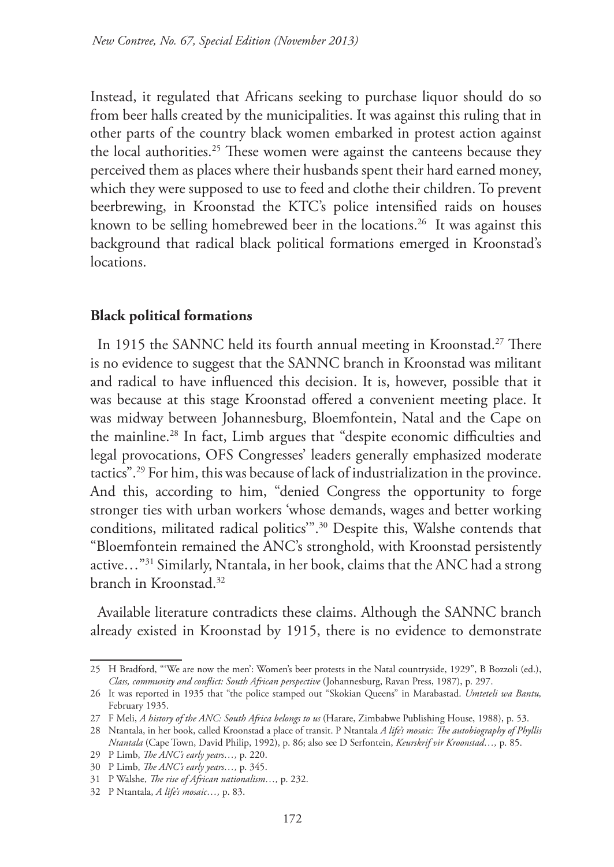Instead, it regulated that Africans seeking to purchase liquor should do so from beer halls created by the municipalities. It was against this ruling that in other parts of the country black women embarked in protest action against the local authorities.<sup>25</sup> These women were against the canteens because they perceived them as places where their husbands spent their hard earned money, which they were supposed to use to feed and clothe their children. To prevent beerbrewing, in Kroonstad the KTC's police intensified raids on houses known to be selling homebrewed beer in the locations.<sup>26</sup> It was against this background that radical black political formations emerged in Kroonstad's locations.

# **Black political formations**

In 1915 the SANNC held its fourth annual meeting in Kroonstad.<sup>27</sup> There is no evidence to suggest that the SANNC branch in Kroonstad was militant and radical to have influenced this decision. It is, however, possible that it was because at this stage Kroonstad offered a convenient meeting place. It was midway between Johannesburg, Bloemfontein, Natal and the Cape on the mainline.28 In fact, Limb argues that "despite economic difficulties and legal provocations, OFS Congresses' leaders generally emphasized moderate tactics".29 For him, this was because of lack of industrialization in the province. And this, according to him, "denied Congress the opportunity to forge stronger ties with urban workers 'whose demands, wages and better working conditions, militated radical politics'".30 Despite this, Walshe contends that "Bloemfontein remained the ANC's stronghold, with Kroonstad persistently active…"31 Similarly, Ntantala, in her book, claims that the ANC had a strong branch in Kroonstad.32

Available literature contradicts these claims. Although the SANNC branch already existed in Kroonstad by 1915, there is no evidence to demonstrate

<sup>25</sup> H Bradford, "'We are now the men': Women's beer protests in the Natal countryside, 1929", B Bozzoli (ed.), *Class, community and conflict: South African perspective* (Johannesburg, Ravan Press, 1987), p. 297.

<sup>26</sup> It was reported in 1935 that "the police stamped out "Skokian Queens" in Marabastad. *Umteteli wa Bantu,*  February 1935.

<sup>27</sup> F Meli, *A history of the ANC: South Africa belongs to us* (Harare, Zimbabwe Publishing House, 1988), p. 53.

<sup>28</sup> Ntantala, in her book, called Kroonstad a place of transit. P Ntantala *A life's mosaic: The autobiography of Phyllis Ntantala* (Cape Town, David Philip, 1992), p. 86; also see D Serfontein, *Keurskrif vir Kroonstad…,* p. 85.

<sup>29</sup> P Limb, *The ANC's early years…,* p. 220.

<sup>30</sup> P Limb, *The ANC's early years…,* p. 345.

<sup>31</sup> P Walshe, *The rise of African nationalism…,* p. 232.

<sup>32</sup> P Ntantala, *A life's mosaic…,* p. 83.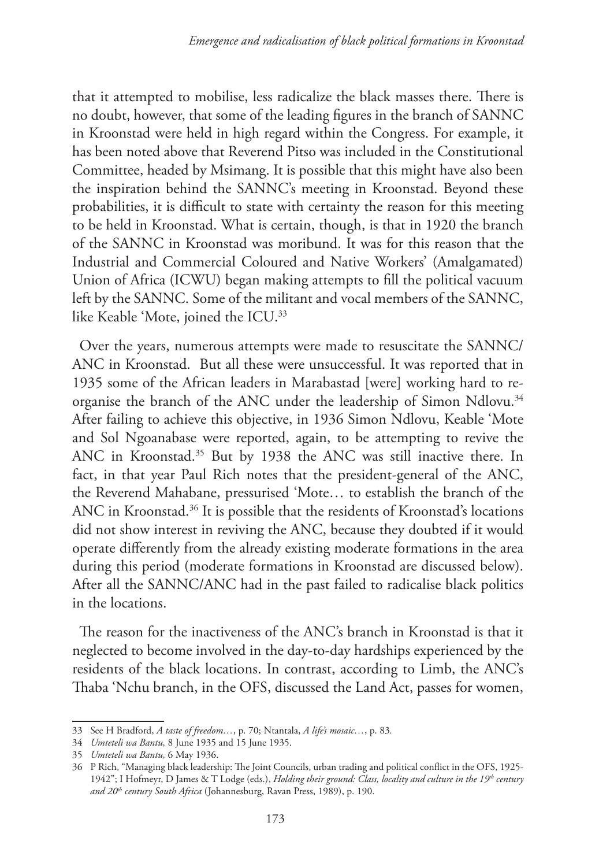that it attempted to mobilise, less radicalize the black masses there. There is no doubt, however, that some of the leading figures in the branch of SANNC in Kroonstad were held in high regard within the Congress. For example, it has been noted above that Reverend Pitso was included in the Constitutional Committee, headed by Msimang. It is possible that this might have also been the inspiration behind the SANNC's meeting in Kroonstad. Beyond these probabilities, it is difficult to state with certainty the reason for this meeting to be held in Kroonstad. What is certain, though, is that in 1920 the branch of the SANNC in Kroonstad was moribund. It was for this reason that the Industrial and Commercial Coloured and Native Workers' (Amalgamated) Union of Africa (ICWU) began making attempts to fill the political vacuum left by the SANNC. Some of the militant and vocal members of the SANNC, like Keable 'Mote, joined the ICU.33

Over the years, numerous attempts were made to resuscitate the SANNC/ ANC in Kroonstad. But all these were unsuccessful. It was reported that in 1935 some of the African leaders in Marabastad [were] working hard to reorganise the branch of the ANC under the leadership of Simon Ndlovu.<sup>34</sup> After failing to achieve this objective, in 1936 Simon Ndlovu, Keable 'Mote and Sol Ngoanabase were reported, again, to be attempting to revive the ANC in Kroonstad.<sup>35</sup> But by 1938 the ANC was still inactive there. In fact, in that year Paul Rich notes that the president-general of the ANC, the Reverend Mahabane, pressurised 'Mote… to establish the branch of the ANC in Kroonstad.<sup>36</sup> It is possible that the residents of Kroonstad's locations did not show interest in reviving the ANC, because they doubted if it would operate differently from the already existing moderate formations in the area during this period (moderate formations in Kroonstad are discussed below). After all the SANNC/ANC had in the past failed to radicalise black politics in the locations.

The reason for the inactiveness of the ANC's branch in Kroonstad is that it neglected to become involved in the day-to-day hardships experienced by the residents of the black locations. In contrast, according to Limb, the ANC's Thaba 'Nchu branch, in the OFS, discussed the Land Act, passes for women,

<sup>33</sup> See H Bradford, *A taste of freedom…*, p. 70; Ntantala, *A life's mosaic…*, p. 83*.*

<sup>34</sup> *Umteteli wa Bantu,* 8 June 1935 and 15 June 1935.

<sup>35</sup> *Umteteli wa Bantu,* 6 May 1936.

<sup>36</sup> P Rich, "Managing black leadership: The Joint Councils, urban trading and political conflict in the OFS, 1925- 1942"; I Hofmeyr, D James & T Lodge (eds.), *Holding their ground: Class, locality and culture in the 19th century and 20th century South Africa* (Johannesburg, Ravan Press, 1989), p. 190.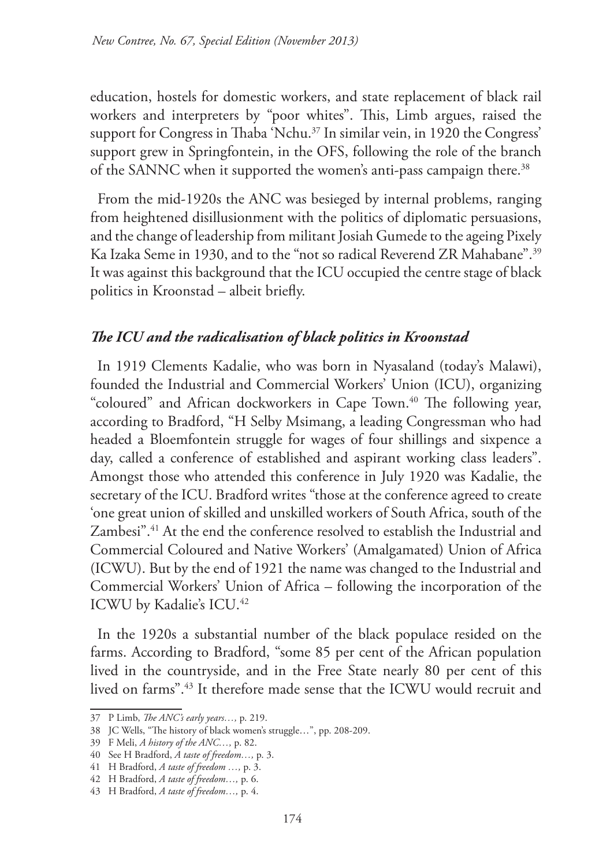education, hostels for domestic workers, and state replacement of black rail workers and interpreters by "poor whites". This, Limb argues, raised the support for Congress in Thaba 'Nchu.<sup>37</sup> In similar vein, in 1920 the Congress' support grew in Springfontein, in the OFS, following the role of the branch of the SANNC when it supported the women's anti-pass campaign there.<sup>38</sup>

From the mid-1920s the ANC was besieged by internal problems, ranging from heightened disillusionment with the politics of diplomatic persuasions, and the change of leadership from militant Josiah Gumede to the ageing Pixely Ka Izaka Seme in 1930, and to the "not so radical Reverend ZR Mahabane".39 It was against this background that the ICU occupied the centre stage of black politics in Kroonstad – albeit briefly.

## *The ICU and the radicalisation of black politics in Kroonstad*

In 1919 Clements Kadalie, who was born in Nyasaland (today's Malawi), founded the Industrial and Commercial Workers' Union (ICU), organizing "coloured" and African dockworkers in Cape Town.<sup>40</sup> The following year, according to Bradford, "H Selby Msimang, a leading Congressman who had headed a Bloemfontein struggle for wages of four shillings and sixpence a day, called a conference of established and aspirant working class leaders". Amongst those who attended this conference in July 1920 was Kadalie, the secretary of the ICU. Bradford writes "those at the conference agreed to create 'one great union of skilled and unskilled workers of South Africa, south of the Zambesi".41 At the end the conference resolved to establish the Industrial and Commercial Coloured and Native Workers' (Amalgamated) Union of Africa (ICWU). But by the end of 1921 the name was changed to the Industrial and Commercial Workers' Union of Africa – following the incorporation of the ICWU by Kadalie's ICU.42

In the 1920s a substantial number of the black populace resided on the farms. According to Bradford, "some 85 per cent of the African population lived in the countryside, and in the Free State nearly 80 per cent of this lived on farms".43 It therefore made sense that the ICWU would recruit and

<sup>37</sup> P Limb, *The ANC's early years…,* p. 219.

<sup>38</sup> JC Wells, "The history of black women's struggle…", pp. 208-209.

<sup>39</sup> F Meli, *A history of the ANC…,* p. 82.

<sup>40</sup> See H Bradford, *A taste of freedom…,* p. 3.

<sup>41</sup> H Bradford, *A taste of freedom …,* p. 3.

<sup>42</sup> H Bradford, *A taste of freedom…,* p. 6.

<sup>43</sup> H Bradford, *A taste of freedom…,* p. 4.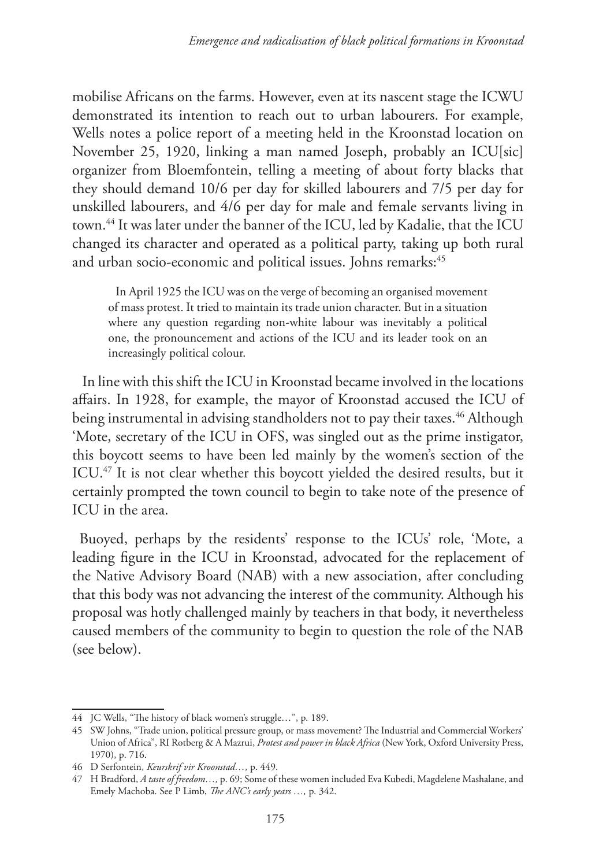mobilise Africans on the farms. However, even at its nascent stage the ICWU demonstrated its intention to reach out to urban labourers. For example, Wells notes a police report of a meeting held in the Kroonstad location on November 25, 1920, linking a man named Joseph, probably an ICU[sic] organizer from Bloemfontein, telling a meeting of about forty blacks that they should demand 10/6 per day for skilled labourers and 7/5 per day for unskilled labourers, and 4/6 per day for male and female servants living in town.44 It was later under the banner of the ICU, led by Kadalie, that the ICU changed its character and operated as a political party, taking up both rural and urban socio-economic and political issues. Johns remarks:<sup>45</sup>

In April 1925 the ICU was on the verge of becoming an organised movement of mass protest. It tried to maintain its trade union character. But in a situation where any question regarding non-white labour was inevitably a political one, the pronouncement and actions of the ICU and its leader took on an increasingly political colour.

In line with this shift the ICU in Kroonstad became involved in the locations affairs. In 1928, for example, the mayor of Kroonstad accused the ICU of being instrumental in advising standholders not to pay their taxes.<sup>46</sup> Although 'Mote, secretary of the ICU in OFS, was singled out as the prime instigator, this boycott seems to have been led mainly by the women's section of the ICU.<sup>47</sup> It is not clear whether this boycott yielded the desired results, but it certainly prompted the town council to begin to take note of the presence of ICU in the area.

Buoyed, perhaps by the residents' response to the ICUs' role, 'Mote, a leading figure in the ICU in Kroonstad, advocated for the replacement of the Native Advisory Board (NAB) with a new association, after concluding that this body was not advancing the interest of the community. Although his proposal was hotly challenged mainly by teachers in that body, it nevertheless caused members of the community to begin to question the role of the NAB (see below).

<sup>44</sup> JC Wells, "The history of black women's struggle…", p. 189.

<sup>45</sup> SW Johns, "Trade union, political pressure group, or mass movement? The Industrial and Commercial Workers' Union of Africa", RI Rotberg & A Mazrui, *Protest and power in black Africa* (New York, Oxford University Press, 1970), p. 716.

<sup>46</sup> D Serfontein, *Keurskrif vir Kroonstad…,* p. 449.

<sup>47</sup> H Bradford, *A taste of freedom…,* p. 69; Some of these women included Eva Kubedi, Magdelene Mashalane, and Emely Machoba. See P Limb, *The ANC's early years …,* p. 342.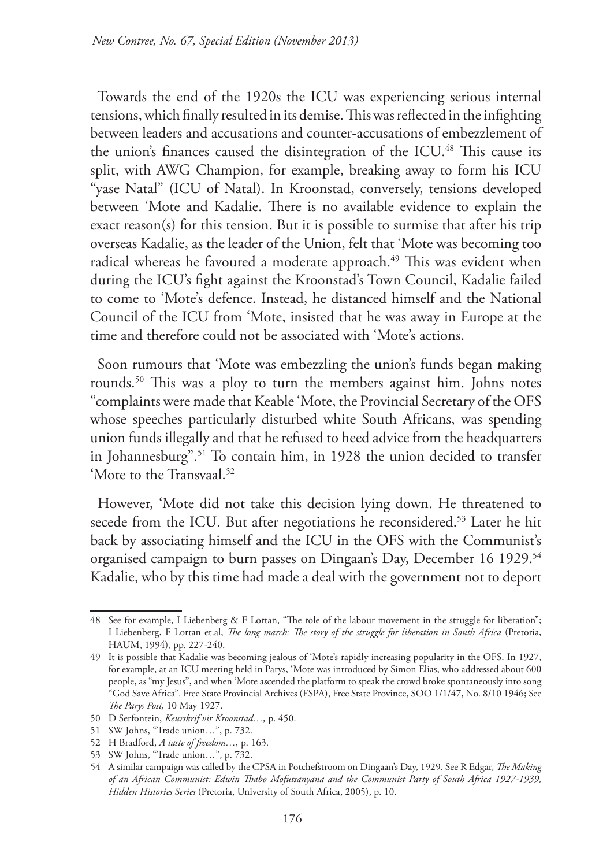Towards the end of the 1920s the ICU was experiencing serious internal tensions, which finally resulted in its demise. This was reflected in the infighting between leaders and accusations and counter-accusations of embezzlement of the union's finances caused the disintegration of the ICU.48 This cause its split, with AWG Champion, for example, breaking away to form his ICU "yase Natal" (ICU of Natal). In Kroonstad, conversely, tensions developed between 'Mote and Kadalie. There is no available evidence to explain the exact reason(s) for this tension. But it is possible to surmise that after his trip overseas Kadalie, as the leader of the Union, felt that 'Mote was becoming too radical whereas he favoured a moderate approach.<sup>49</sup> This was evident when during the ICU's fight against the Kroonstad's Town Council, Kadalie failed to come to 'Mote's defence. Instead, he distanced himself and the National Council of the ICU from 'Mote, insisted that he was away in Europe at the time and therefore could not be associated with 'Mote's actions.

Soon rumours that 'Mote was embezzling the union's funds began making rounds.50 This was a ploy to turn the members against him. Johns notes "complaints were made that Keable 'Mote, the Provincial Secretary of the OFS whose speeches particularly disturbed white South Africans, was spending union funds illegally and that he refused to heed advice from the headquarters in Johannesburg".51 To contain him, in 1928 the union decided to transfer 'Mote to the Transvaal.<sup>52</sup>

However, 'Mote did not take this decision lying down. He threatened to secede from the ICU. But after negotiations he reconsidered.<sup>53</sup> Later he hit back by associating himself and the ICU in the OFS with the Communist's organised campaign to burn passes on Dingaan's Day, December 16 1929.<sup>54</sup> Kadalie, who by this time had made a deal with the government not to deport

<sup>48</sup> See for example, I Liebenberg & F Lortan, "The role of the labour movement in the struggle for liberation"; I Liebenberg, F Lortan et.al, *The long march: The story of the struggle for liberation in South Africa* (Pretoria, HAUM, 1994), pp. 227-240.

<sup>49</sup> It is possible that Kadalie was becoming jealous of 'Mote's rapidly increasing popularity in the OFS. In 1927, for example, at an ICU meeting held in Parys, 'Mote was introduced by Simon Elias, who addressed about 600 people, as "my Jesus", and when 'Mote ascended the platform to speak the crowd broke spontaneously into song "God Save Africa". Free State Provincial Archives (FSPA), Free State Province, SOO 1/1/47, No. 8/10 1946; See *The Parys Post,* 10 May 1927.

<sup>50</sup> D Serfontein, *Keurskrif vir Kroonstad…,* p. 450.

<sup>51</sup> SW Johns, "Trade union…", p. 732.

<sup>52</sup> H Bradford, *A taste of freedom…,* p. 163.

<sup>53</sup> SW Johns, "Trade union…", p. 732.

<sup>54</sup> A similar campaign was called by the CPSA in Potchefstroom on Dingaan's Day, 1929. See R Edgar, *The Making of an African Communist: Edwin Thabo Mofutsanyana and the Communist Party of South Africa 1927-1939, Hidden Histories Series* (Pretoria, University of South Africa, 2005), p. 10.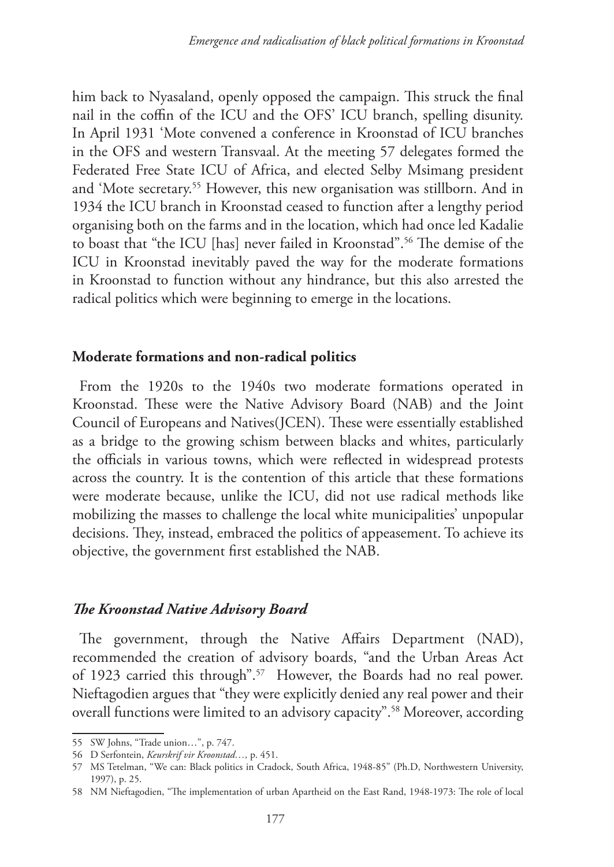him back to Nyasaland, openly opposed the campaign. This struck the final nail in the coffin of the ICU and the OFS' ICU branch, spelling disunity. In April 1931 'Mote convened a conference in Kroonstad of ICU branches in the OFS and western Transvaal. At the meeting 57 delegates formed the Federated Free State ICU of Africa, and elected Selby Msimang president and 'Mote secretary.55 However, this new organisation was stillborn. And in 1934 the ICU branch in Kroonstad ceased to function after a lengthy period organising both on the farms and in the location, which had once led Kadalie to boast that "the ICU [has] never failed in Kroonstad".<sup>56</sup> The demise of the ICU in Kroonstad inevitably paved the way for the moderate formations in Kroonstad to function without any hindrance, but this also arrested the radical politics which were beginning to emerge in the locations.

## **Moderate formations and non-radical politics**

From the 1920s to the 1940s two moderate formations operated in Kroonstad. These were the Native Advisory Board (NAB) and the Joint Council of Europeans and Natives(JCEN). These were essentially established as a bridge to the growing schism between blacks and whites, particularly the officials in various towns, which were reflected in widespread protests across the country. It is the contention of this article that these formations were moderate because, unlike the ICU, did not use radical methods like mobilizing the masses to challenge the local white municipalities' unpopular decisions. They, instead, embraced the politics of appeasement. To achieve its objective, the government first established the NAB.

#### *The Kroonstad Native Advisory Board*

The government, through the Native Affairs Department (NAD), recommended the creation of advisory boards, "and the Urban Areas Act of 1923 carried this through".<sup>57</sup> However, the Boards had no real power. Nieftagodien argues that "they were explicitly denied any real power and their overall functions were limited to an advisory capacity".58 Moreover, according

<sup>55</sup> SW Johns, "Trade union…", p. 747.

<sup>56</sup> D Serfontein, *Keurskrif vir Kroonstad…,* p. 451.

<sup>57</sup> MS Tetelman, "We can: Black politics in Cradock, South Africa, 1948-85" (Ph.D, Northwestern University, 1997), p. 25.

<sup>58</sup> NM Nieftagodien, "The implementation of urban Apartheid on the East Rand, 1948-1973: The role of local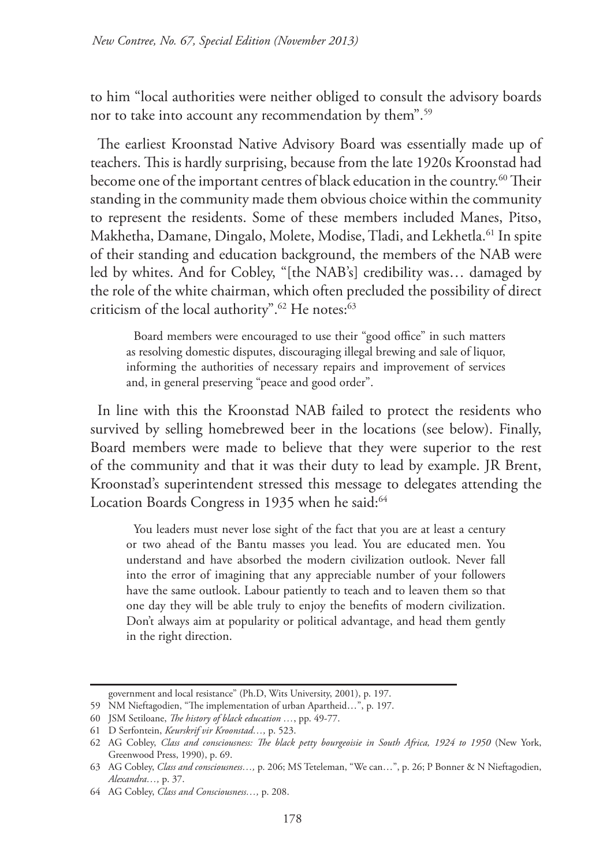to him "local authorities were neither obliged to consult the advisory boards nor to take into account any recommendation by them".59

The earliest Kroonstad Native Advisory Board was essentially made up of teachers. This is hardly surprising, because from the late 1920s Kroonstad had become one of the important centres of black education in the country.<sup>60</sup> Their standing in the community made them obvious choice within the community to represent the residents. Some of these members included Manes, Pitso, Makhetha, Damane, Dingalo, Molete, Modise, Tladi, and Lekhetla.<sup>61</sup> In spite of their standing and education background, the members of the NAB were led by whites. And for Cobley, "[the NAB's] credibility was… damaged by the role of the white chairman, which often precluded the possibility of direct criticism of the local authority".<sup>62</sup> He notes:<sup>63</sup>

Board members were encouraged to use their "good office" in such matters as resolving domestic disputes, discouraging illegal brewing and sale of liquor, informing the authorities of necessary repairs and improvement of services and, in general preserving "peace and good order".

In line with this the Kroonstad NAB failed to protect the residents who survived by selling homebrewed beer in the locations (see below). Finally, Board members were made to believe that they were superior to the rest of the community and that it was their duty to lead by example. JR Brent, Kroonstad's superintendent stressed this message to delegates attending the Location Boards Congress in 1935 when he said:<sup>64</sup>

You leaders must never lose sight of the fact that you are at least a century or two ahead of the Bantu masses you lead. You are educated men. You understand and have absorbed the modern civilization outlook. Never fall into the error of imagining that any appreciable number of your followers have the same outlook. Labour patiently to teach and to leaven them so that one day they will be able truly to enjoy the benefits of modern civilization. Don't always aim at popularity or political advantage, and head them gently in the right direction.

government and local resistance" (Ph.D, Wits University, 2001), p. 197.

<sup>59</sup> NM Nieftagodien, "The implementation of urban Apartheid…", p. 197.

<sup>60</sup> JSM Setiloane, *The history of black education …*, pp. 49-77.

<sup>61</sup> D Serfontein, *Keurskrif vir Kroonstad…,* p. 523.

<sup>62</sup> AG Cobley, *Class and consciousness: The black petty bourgeoisie in South Africa, 1924 to 1950* (New York, Greenwood Press, 1990), p. 69.

<sup>63</sup> AG Cobley, *Class and consciousness…,* p. 206; MS Teteleman, "We can…", p. 26; P Bonner & N Nieftagodien, *Alexandra…,* p. 37.

<sup>64</sup> AG Cobley, *Class and Consciousness…,* p. 208.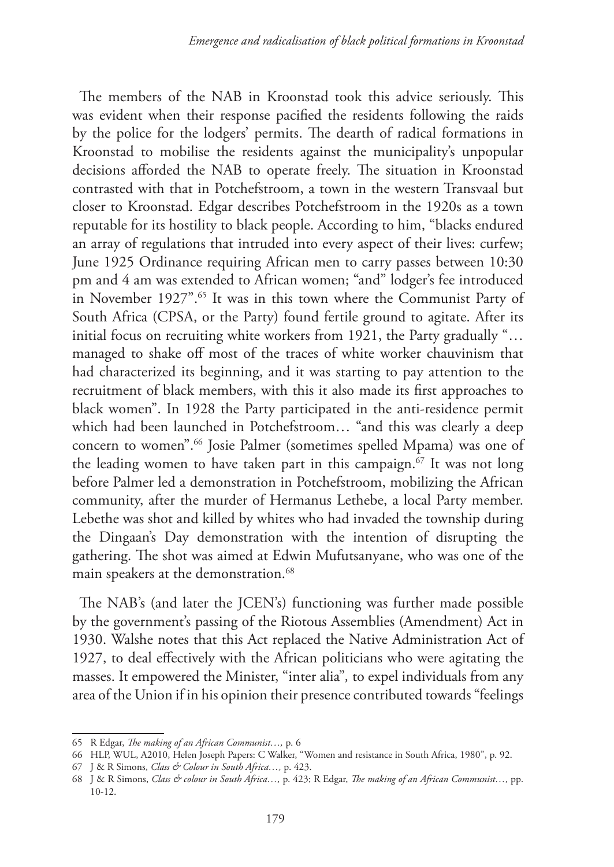The members of the NAB in Kroonstad took this advice seriously. This was evident when their response pacified the residents following the raids by the police for the lodgers' permits. The dearth of radical formations in Kroonstad to mobilise the residents against the municipality's unpopular decisions afforded the NAB to operate freely. The situation in Kroonstad contrasted with that in Potchefstroom, a town in the western Transvaal but closer to Kroonstad. Edgar describes Potchefstroom in the 1920s as a town reputable for its hostility to black people. According to him, "blacks endured an array of regulations that intruded into every aspect of their lives: curfew; June 1925 Ordinance requiring African men to carry passes between 10:30 pm and 4 am was extended to African women; "and" lodger's fee introduced in November 1927".<sup>65</sup> It was in this town where the Communist Party of South Africa (CPSA, or the Party) found fertile ground to agitate. After its initial focus on recruiting white workers from 1921, the Party gradually "… managed to shake off most of the traces of white worker chauvinism that had characterized its beginning, and it was starting to pay attention to the recruitment of black members, with this it also made its first approaches to black women". In 1928 the Party participated in the anti-residence permit which had been launched in Potchefstroom… "and this was clearly a deep concern to women".66 Josie Palmer (sometimes spelled Mpama) was one of the leading women to have taken part in this campaign.<sup>67</sup> It was not long before Palmer led a demonstration in Potchefstroom, mobilizing the African community, after the murder of Hermanus Lethebe, a local Party member. Lebethe was shot and killed by whites who had invaded the township during the Dingaan's Day demonstration with the intention of disrupting the gathering. The shot was aimed at Edwin Mufutsanyane, who was one of the main speakers at the demonstration.<sup>68</sup>

The NAB's (and later the JCEN's) functioning was further made possible by the government's passing of the Riotous Assemblies (Amendment) Act in 1930. Walshe notes that this Act replaced the Native Administration Act of 1927, to deal effectively with the African politicians who were agitating the masses. It empowered the Minister, "inter alia"*,* to expel individuals from any area of the Union if in his opinion their presence contributed towards "feelings

<sup>65</sup> R Edgar, *The making of an African Communist…,* p. 6

<sup>66</sup> HLP, WUL, A2010, Helen Joseph Papers: C Walker, "Women and resistance in South Africa, 1980", p. 92.

<sup>67</sup> J & R Simons, *Class & Colour in South Africa…,* p. 423.

<sup>68</sup> J & R Simons, *Class & colour in South Africa…,* p. 423; R Edgar, *The making of an African Communist…,* pp. 10-12.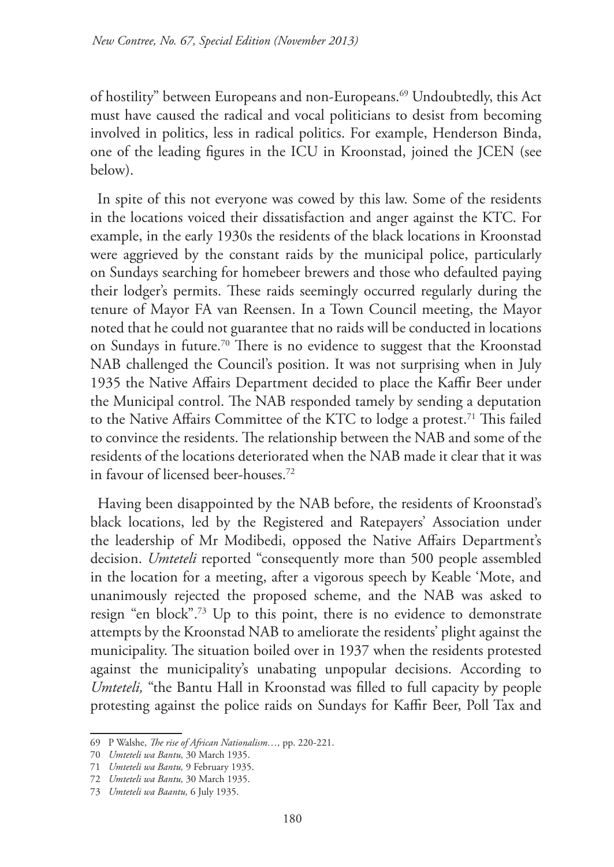of hostility" between Europeans and non-Europeans.69 Undoubtedly, this Act must have caused the radical and vocal politicians to desist from becoming involved in politics, less in radical politics. For example, Henderson Binda, one of the leading figures in the ICU in Kroonstad, joined the JCEN (see below).

In spite of this not everyone was cowed by this law. Some of the residents in the locations voiced their dissatisfaction and anger against the KTC. For example, in the early 1930s the residents of the black locations in Kroonstad were aggrieved by the constant raids by the municipal police, particularly on Sundays searching for homebeer brewers and those who defaulted paying their lodger's permits. These raids seemingly occurred regularly during the tenure of Mayor FA van Reensen. In a Town Council meeting, the Mayor noted that he could not guarantee that no raids will be conducted in locations on Sundays in future.70 There is no evidence to suggest that the Kroonstad NAB challenged the Council's position. It was not surprising when in July 1935 the Native Affairs Department decided to place the Kaffir Beer under the Municipal control. The NAB responded tamely by sending a deputation to the Native Affairs Committee of the KTC to lodge a protest.<sup>71</sup> This failed to convince the residents. The relationship between the NAB and some of the residents of the locations deteriorated when the NAB made it clear that it was in favour of licensed beer-houses.72

Having been disappointed by the NAB before, the residents of Kroonstad's black locations, led by the Registered and Ratepayers' Association under the leadership of Mr Modibedi, opposed the Native Affairs Department's decision. *Umteteli* reported "consequently more than 500 people assembled in the location for a meeting, after a vigorous speech by Keable 'Mote, and unanimously rejected the proposed scheme, and the NAB was asked to resign "en block".73 Up to this point, there is no evidence to demonstrate attempts by the Kroonstad NAB to ameliorate the residents' plight against the municipality. The situation boiled over in 1937 when the residents protested against the municipality's unabating unpopular decisions. According to *Umteteli,* "the Bantu Hall in Kroonstad was filled to full capacity by people protesting against the police raids on Sundays for Kaffir Beer, Poll Tax and

<sup>69</sup> P Walshe, *The rise of African Nationalism…,* pp. 220-221.

<sup>70</sup> *Umteteli wa Bantu,* 30 March 1935.

<sup>71</sup> *Umteteli wa Bantu,* 9 February 1935.

<sup>72</sup> *Umteteli wa Bantu,* 30 March 1935.

<sup>73</sup> *Umteteli wa Baantu,* 6 July 1935.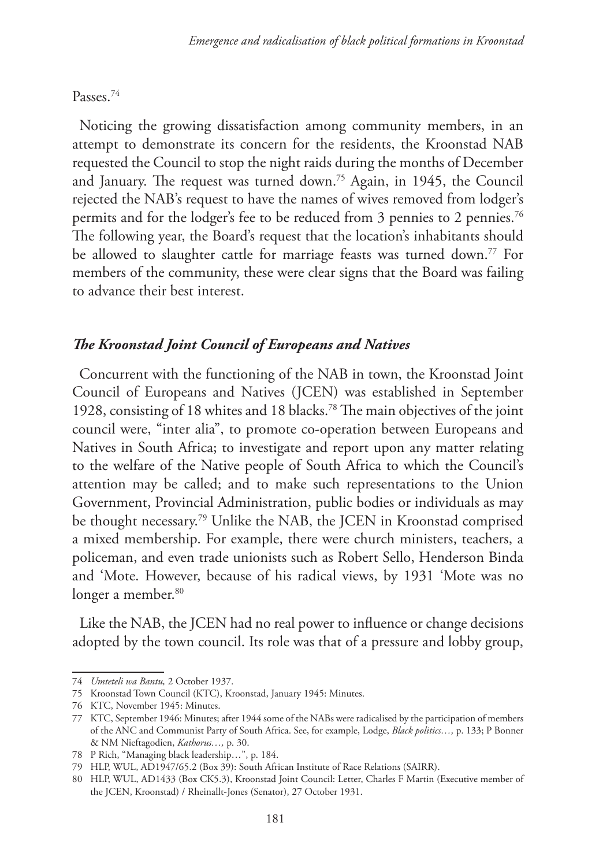## Passes.74

Noticing the growing dissatisfaction among community members, in an attempt to demonstrate its concern for the residents, the Kroonstad NAB requested the Council to stop the night raids during the months of December and January. The request was turned down.75 Again, in 1945, the Council rejected the NAB's request to have the names of wives removed from lodger's permits and for the lodger's fee to be reduced from 3 pennies to 2 pennies.<sup>76</sup> The following year, the Board's request that the location's inhabitants should be allowed to slaughter cattle for marriage feasts was turned down.<sup>77</sup> For members of the community, these were clear signs that the Board was failing to advance their best interest.

# *The Kroonstad Joint Council of Europeans and Natives*

Concurrent with the functioning of the NAB in town, the Kroonstad Joint Council of Europeans and Natives (JCEN) was established in September 1928, consisting of 18 whites and 18 blacks.78 The main objectives of the joint council were, "inter alia", to promote co-operation between Europeans and Natives in South Africa; to investigate and report upon any matter relating to the welfare of the Native people of South Africa to which the Council's attention may be called; and to make such representations to the Union Government, Provincial Administration, public bodies or individuals as may be thought necessary.79 Unlike the NAB, the JCEN in Kroonstad comprised a mixed membership. For example, there were church ministers, teachers, a policeman, and even trade unionists such as Robert Sello, Henderson Binda and 'Mote. However, because of his radical views, by 1931 'Mote was no longer a member.<sup>80</sup>

Like the NAB, the JCEN had no real power to influence or change decisions adopted by the town council. Its role was that of a pressure and lobby group,

<sup>74</sup> *Umteteli wa Bantu,* 2 October 1937.

<sup>75</sup> Kroonstad Town Council (KTC), Kroonstad, January 1945: Minutes.

<sup>76</sup> KTC, November 1945: Minutes.

<sup>77</sup> KTC, September 1946: Minutes; after 1944 some of the NABs were radicalised by the participation of members of the ANC and Communist Party of South Africa. See, for example, Lodge, *Black politics…,* p. 133; P Bonner & NM Nieftagodien, *Kathorus…,* p. 30.

<sup>78</sup> P Rich, "Managing black leadership…", p. 184.

<sup>79</sup> HLP, WUL, AD1947/65.2 (Box 39): South African Institute of Race Relations (SAIRR).

<sup>80</sup> HLP, WUL, AD1433 (Box CK5.3), Kroonstad Joint Council: Letter, Charles F Martin (Executive member of the JCEN, Kroonstad) / Rheinallt-Jones (Senator), 27 October 1931.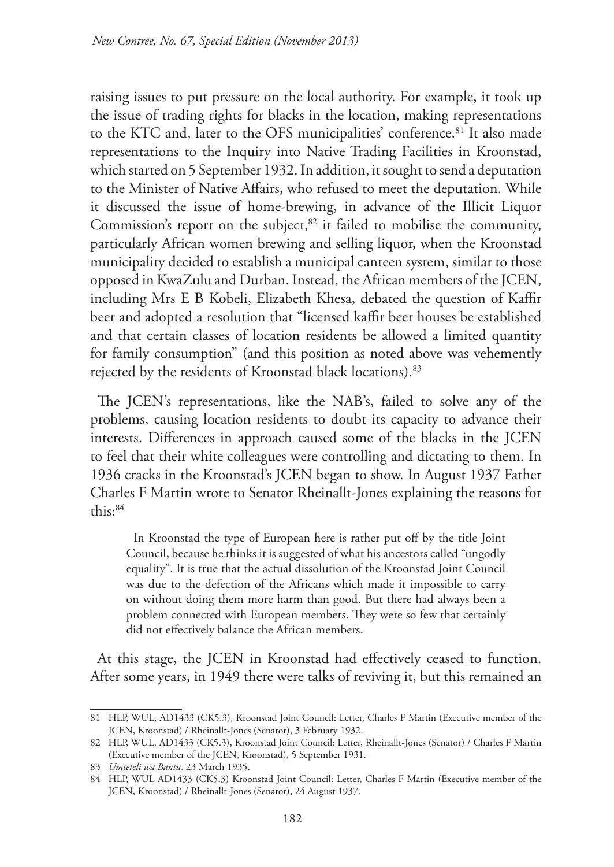raising issues to put pressure on the local authority. For example, it took up the issue of trading rights for blacks in the location, making representations to the KTC and, later to the OFS municipalities' conference.<sup>81</sup> It also made representations to the Inquiry into Native Trading Facilities in Kroonstad, which started on 5 September 1932. In addition, it sought to send a deputation to the Minister of Native Affairs, who refused to meet the deputation. While it discussed the issue of home-brewing, in advance of the Illicit Liquor Commission's report on the subject, $82$  it failed to mobilise the community, particularly African women brewing and selling liquor, when the Kroonstad municipality decided to establish a municipal canteen system, similar to those opposed in KwaZulu and Durban. Instead, the African members of the JCEN, including Mrs E B Kobeli, Elizabeth Khesa, debated the question of Kaffir beer and adopted a resolution that "licensed kaffir beer houses be established and that certain classes of location residents be allowed a limited quantity for family consumption" (and this position as noted above was vehemently rejected by the residents of Kroonstad black locations).83

The JCEN's representations, like the NAB's, failed to solve any of the problems, causing location residents to doubt its capacity to advance their interests. Differences in approach caused some of the blacks in the JCEN to feel that their white colleagues were controlling and dictating to them. In 1936 cracks in the Kroonstad's JCEN began to show. In August 1937 Father Charles F Martin wrote to Senator Rheinallt-Jones explaining the reasons for this:84

In Kroonstad the type of European here is rather put off by the title Joint Council, because he thinks it is suggested of what his ancestors called "ungodly equality". It is true that the actual dissolution of the Kroonstad Joint Council was due to the defection of the Africans which made it impossible to carry on without doing them more harm than good. But there had always been a problem connected with European members. They were so few that certainly did not effectively balance the African members.

At this stage, the JCEN in Kroonstad had effectively ceased to function. After some years, in 1949 there were talks of reviving it, but this remained an

<sup>81</sup> HLP, WUL, AD1433 (CK5.3), Kroonstad Joint Council: Letter, Charles F Martin (Executive member of the JCEN, Kroonstad) / Rheinallt-Jones (Senator), 3 February 1932.

<sup>82</sup> HLP, WUL, AD1433 (CK5.3), Kroonstad Joint Council: Letter, Rheinallt-Jones (Senator) / Charles F Martin (Executive member of the JCEN, Kroonstad), 5 September 1931.

<sup>83</sup> *Umteteli wa Bantu,* 23 March 1935.

<sup>84</sup> HLP, WUL AD1433 (CK5.3) Kroonstad Joint Council: Letter, Charles F Martin (Executive member of the JCEN, Kroonstad) / Rheinallt-Jones (Senator), 24 August 1937.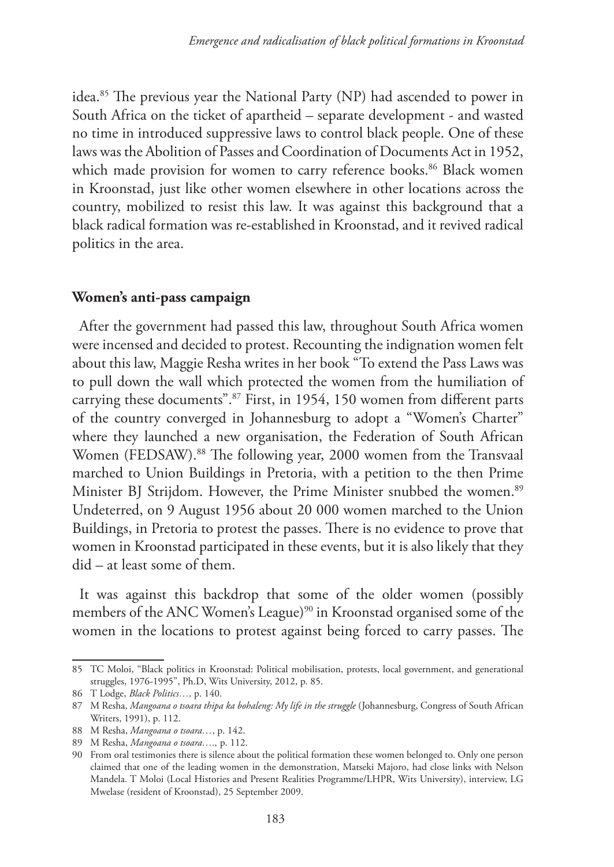idea.85 The previous year the National Party (NP) had ascended to power in South Africa on the ticket of apartheid – separate development - and wasted no time in introduced suppressive laws to control black people. One of these laws was the Abolition of Passes and Coordination of Documents Act in 1952, which made provision for women to carry reference books.<sup>86</sup> Black women in Kroonstad, just like other women elsewhere in other locations across the country, mobilized to resist this law. It was against this background that a black radical formation was re-established in Kroonstad, and it revived radical politics in the area.

#### **Women's anti-pass campaign**

After the government had passed this law, throughout South Africa women were incensed and decided to protest. Recounting the indignation women felt about this law, Maggie Resha writes in her book "To extend the Pass Laws was to pull down the wall which protected the women from the humiliation of carrying these documents".87 First, in 1954, 150 women from different parts of the country converged in Johannesburg to adopt a "Women's Charter" where they launched a new organisation, the Federation of South African Women (FEDSAW).<sup>88</sup> The following year, 2000 women from the Transvaal marched to Union Buildings in Pretoria, with a petition to the then Prime Minister BJ Strijdom. However, the Prime Minister snubbed the women.<sup>89</sup> Undeterred, on 9 August 1956 about 20 000 women marched to the Union Buildings, in Pretoria to protest the passes. There is no evidence to prove that women in Kroonstad participated in these events, but it is also likely that they did – at least some of them.

It was against this backdrop that some of the older women (possibly members of the ANC Women's League)<sup>90</sup> in Kroonstad organised some of the women in the locations to protest against being forced to carry passes. The

<sup>85</sup> TC Moloi, "Black politics in Kroonstad: Political mobilisation, protests, local government, and generational struggles, 1976-1995", Ph.D, Wits University, 2012, p. 85.

<sup>86</sup> T Lodge, *Black Politics…,* p. 140.

<sup>87</sup> M Resha, *Mangoana o tsoara thipa ka bohaleng: My life in the struggle* (Johannesburg, Congress of South African Writers, 1991), p. 112.

<sup>88</sup> M Resha, *Mangoana o tsoara…*, p. 142.

<sup>89</sup> M Resha, *Mangoana o tsoara….,* p. 112.

<sup>90</sup> From oral testimonies there is silence about the political formation these women belonged to. Only one person claimed that one of the leading women in the demonstration, Matseki Majoro, had close links with Nelson Mandela. T Moloi (Local Histories and Present Realities Programme/LHPR, Wits University), interview, LG Mwelase (resident of Kroonstad), 25 September 2009.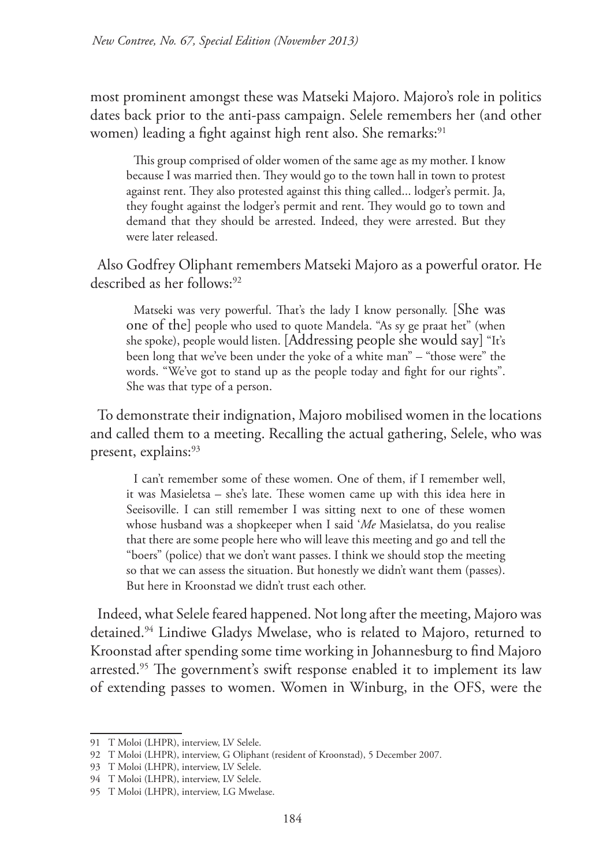most prominent amongst these was Matseki Majoro. Majoro's role in politics dates back prior to the anti-pass campaign. Selele remembers her (and other women) leading a fight against high rent also. She remarks:<sup>91</sup>

This group comprised of older women of the same age as my mother. I know because I was married then. They would go to the town hall in town to protest against rent. They also protested against this thing called... lodger's permit. Ja, they fought against the lodger's permit and rent. They would go to town and demand that they should be arrested. Indeed, they were arrested. But they were later released.

Also Godfrey Oliphant remembers Matseki Majoro as a powerful orator. He described as her follows:<sup>92</sup>

Matseki was very powerful. That's the lady I know personally. [She was one of the] people who used to quote Mandela. "As sy ge praat het" (when she spoke), people would listen. [Addressing people she would say] "It's been long that we've been under the yoke of a white man" – "those were" the words. "We've got to stand up as the people today and fight for our rights". She was that type of a person.

To demonstrate their indignation, Majoro mobilised women in the locations and called them to a meeting. Recalling the actual gathering, Selele, who was present, explains:<sup>93</sup>

I can't remember some of these women. One of them, if I remember well, it was Masieletsa – she's late. These women came up with this idea here in Seeisoville. I can still remember I was sitting next to one of these women whose husband was a shopkeeper when I said '*Me* Masielatsa, do you realise that there are some people here who will leave this meeting and go and tell the "boers" (police) that we don't want passes. I think we should stop the meeting so that we can assess the situation. But honestly we didn't want them (passes). But here in Kroonstad we didn't trust each other.

Indeed, what Selele feared happened. Not long after the meeting, Majoro was detained.94 Lindiwe Gladys Mwelase, who is related to Majoro, returned to Kroonstad after spending some time working in Johannesburg to find Majoro arrested.<sup>95</sup> The government's swift response enabled it to implement its law of extending passes to women. Women in Winburg, in the OFS, were the

<sup>91</sup> T Moloi (LHPR), interview, LV Selele.

<sup>92</sup> T Moloi (LHPR), interview, G Oliphant (resident of Kroonstad), 5 December 2007.

<sup>93</sup> T Moloi (LHPR), interview, LV Selele.

<sup>94</sup> T Moloi (LHPR), interview, LV Selele.

<sup>95</sup> T Moloi (LHPR), interview, LG Mwelase.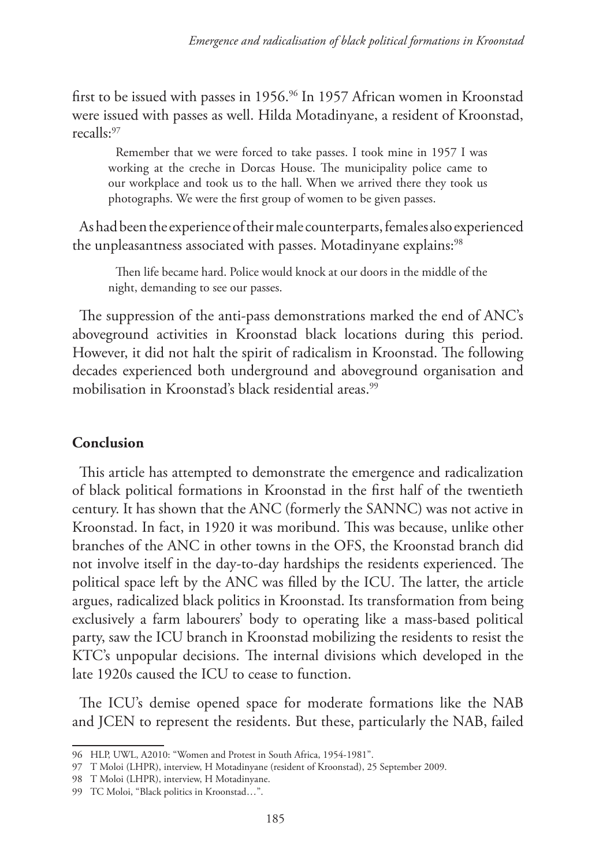first to be issued with passes in 1956.<sup>96</sup> In 1957 African women in Kroonstad were issued with passes as well. Hilda Motadinyane, a resident of Kroonstad, recalls:97

Remember that we were forced to take passes. I took mine in 1957 I was working at the creche in Dorcas House. The municipality police came to our workplace and took us to the hall. When we arrived there they took us photographs. We were the first group of women to be given passes.

As had been the experience of their male counterparts, females also experienced the unpleasantness associated with passes. Motadinyane explains:<sup>98</sup>

Then life became hard. Police would knock at our doors in the middle of the night, demanding to see our passes.

The suppression of the anti-pass demonstrations marked the end of ANC's aboveground activities in Kroonstad black locations during this period. However, it did not halt the spirit of radicalism in Kroonstad. The following decades experienced both underground and aboveground organisation and mobilisation in Kroonstad's black residential areas.<sup>99</sup>

# **Conclusion**

This article has attempted to demonstrate the emergence and radicalization of black political formations in Kroonstad in the first half of the twentieth century. It has shown that the ANC (formerly the SANNC) was not active in Kroonstad. In fact, in 1920 it was moribund. This was because, unlike other branches of the ANC in other towns in the OFS, the Kroonstad branch did not involve itself in the day-to-day hardships the residents experienced. The political space left by the ANC was filled by the ICU. The latter, the article argues, radicalized black politics in Kroonstad. Its transformation from being exclusively a farm labourers' body to operating like a mass-based political party, saw the ICU branch in Kroonstad mobilizing the residents to resist the KTC's unpopular decisions. The internal divisions which developed in the late 1920s caused the ICU to cease to function.

The ICU's demise opened space for moderate formations like the NAB and JCEN to represent the residents. But these, particularly the NAB, failed

<sup>96</sup> HLP, UWL, A2010: "Women and Protest in South Africa, 1954-1981".

<sup>97</sup> T Moloi (LHPR), interview, H Motadinyane (resident of Kroonstad), 25 September 2009.

<sup>98</sup> T Moloi (LHPR), interview, H Motadinyane.

<sup>99</sup> TC Moloi, "Black politics in Kroonstad…".